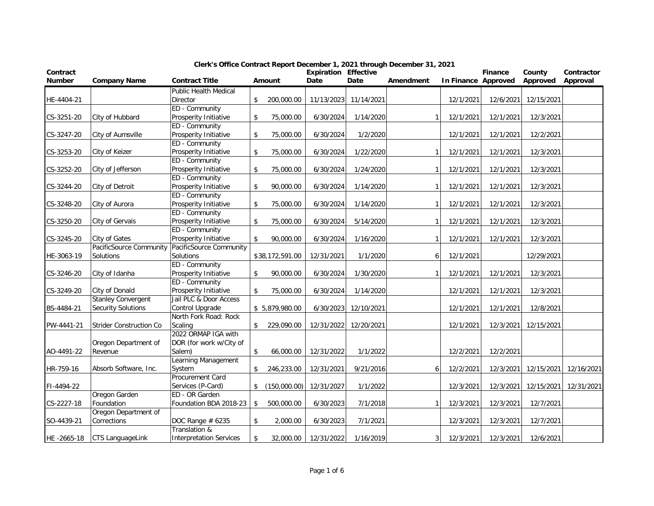| Contract      | Office contract report becember 1, 2021 through becember 31, 2021<br><b>Expiration Effective</b> |                                |                |                 |            |            |                |                     |           | County     | Contractor |
|---------------|--------------------------------------------------------------------------------------------------|--------------------------------|----------------|-----------------|------------|------------|----------------|---------------------|-----------|------------|------------|
| <b>Number</b> | <b>Company Name</b>                                                                              | <b>Contract Title</b>          |                | Amount          | Date       | Date       | Amendment      | In Finance Approved |           | Approved   | Approval   |
|               |                                                                                                  | <b>Public Health Medical</b>   |                |                 |            |            |                |                     |           |            |            |
| HE-4404-21    |                                                                                                  | Director                       | \$             | 200,000.00      | 11/13/2023 | 11/14/2021 |                | 12/1/2021           | 12/6/2021 | 12/15/2021 |            |
|               |                                                                                                  | ED - Community                 |                |                 |            |            |                |                     |           |            |            |
| CS-3251-20    | City of Hubbard                                                                                  | Prosperity Initiative          | \$             | 75,000.00       | 6/30/2024  | 1/14/2020  |                | 12/1/2021           | 12/1/2021 | 12/3/2021  |            |
|               |                                                                                                  | ED - Community                 |                |                 |            |            |                |                     |           |            |            |
| CS-3247-20    | City of Aumsville                                                                                | Prosperity Initiative          | \$             | 75,000.00       | 6/30/2024  | 1/2/2020   |                | 12/1/2021           | 12/1/2021 | 12/2/2021  |            |
|               |                                                                                                  | ED - Community                 |                |                 |            |            |                |                     |           |            |            |
| CS-3253-20    | City of Keizer                                                                                   | Prosperity Initiative          | \$             | 75,000.00       | 6/30/2024  | 1/22/2020  | $\mathbf{1}$   | 12/1/2021           | 12/1/2021 | 12/3/2021  |            |
|               |                                                                                                  | ED - Community                 |                |                 |            |            |                |                     |           |            |            |
| CS-3252-20    | City of Jefferson                                                                                | Prosperity Initiative          | \$             | 75,000.00       | 6/30/2024  | 1/24/2020  | $\mathbf{1}$   | 12/1/2021           | 12/1/2021 | 12/3/2021  |            |
|               |                                                                                                  | ED - Community                 |                |                 |            |            |                |                     |           |            |            |
| CS-3244-20    | City of Detroit                                                                                  | Prosperity Initiative          | \$             | 90,000.00       | 6/30/2024  | 1/14/2020  | $\mathbf{1}$   | 12/1/2021           | 12/1/2021 | 12/3/2021  |            |
|               |                                                                                                  | ED - Community                 |                |                 |            |            |                |                     |           |            |            |
| CS-3248-20    | City of Aurora                                                                                   | Prosperity Initiative          | \$             | 75,000.00       | 6/30/2024  | 1/14/2020  | $\mathbf{1}$   | 12/1/2021           | 12/1/2021 | 12/3/2021  |            |
|               |                                                                                                  | ED - Community                 |                |                 |            |            |                |                     |           |            |            |
| CS-3250-20    | City of Gervais                                                                                  | Prosperity Initiative          | \$             | 75,000.00       | 6/30/2024  | 5/14/2020  |                | 12/1/2021           | 12/1/2021 | 12/3/2021  |            |
|               |                                                                                                  | ED - Community                 |                |                 |            |            |                |                     |           |            |            |
| CS-3245-20    | City of Gates                                                                                    | Prosperity Initiative          | \$             | 90,000.00       | 6/30/2024  | 1/16/2020  | $\mathbf{1}$   | 12/1/2021           | 12/1/2021 | 12/3/2021  |            |
|               | PacificSource Community   PacificSource Community                                                |                                |                |                 |            |            |                |                     |           |            |            |
| HE-3063-19    | Solutions                                                                                        | Solutions                      |                | \$38,172,591.00 | 12/31/2021 | 1/1/2020   | 6              | 12/1/2021           |           | 12/29/2021 |            |
|               |                                                                                                  | ED - Community                 |                |                 |            |            |                |                     |           |            |            |
| CS-3246-20    | City of Idanha                                                                                   | Prosperity Initiative          | \$             | 90,000.00       | 6/30/2024  | 1/30/2020  | $\mathbf{1}$   | 12/1/2021           | 12/1/2021 | 12/3/2021  |            |
|               |                                                                                                  | ED - Community                 |                |                 |            |            |                |                     |           |            |            |
| CS-3249-20    | City of Donald                                                                                   | Prosperity Initiative          | \$             | 75,000.00       | 6/30/2024  | 1/14/2020  |                | 12/1/2021           | 12/1/2021 | 12/3/2021  |            |
|               | <b>Stanley Convergent</b>                                                                        | Jail PLC & Door Access         |                |                 |            |            |                |                     |           |            |            |
| BS-4484-21    | <b>Security Solutions</b>                                                                        | Control Upgrade                |                | \$5,879,980.00  | 6/30/2023  | 12/10/2021 |                | 12/1/2021           | 12/1/2021 | 12/8/2021  |            |
|               |                                                                                                  | North Fork Road: Rock          |                |                 |            |            |                |                     |           |            |            |
| PW-4441-21    | <b>Strider Construction Co</b>                                                                   | Scaling                        | \$             | 229,090.00      | 12/31/2022 | 12/20/2021 |                | 12/1/2021           | 12/3/2021 | 12/15/2021 |            |
|               |                                                                                                  | 2022 ORMAP IGA with            |                |                 |            |            |                |                     |           |            |            |
|               | Oregon Department of                                                                             | DOR (for work w/City of        |                |                 |            |            |                |                     |           |            |            |
| AO-4491-22    | Revenue                                                                                          | Salem)<br>Learning Management  | $\mathfrak{L}$ | 66,000.00       | 12/31/2022 | 1/1/2022   |                | 12/2/2021           | 12/2/2021 |            |            |
|               |                                                                                                  |                                |                |                 |            |            |                |                     |           |            |            |
| HR-759-16     | Absorb Software, Inc.                                                                            | System<br>Procurement Card     | \$             | 246,233.00      | 12/31/2021 | 9/21/2016  | 6              | 12/2/2021           | 12/3/2021 | 12/15/2021 | 12/16/2021 |
|               |                                                                                                  | Services (P-Card)              | \$             |                 |            | 1/1/2022   |                |                     |           | 12/15/2021 | 12/31/2021 |
| FI-4494-22    | Oregon Garden                                                                                    | ED - OR Garden                 |                | (150,000.00)    | 12/31/2027 |            |                | 12/3/2021           | 12/3/2021 |            |            |
| CS-2227-18    | Foundation                                                                                       | Foundation BDA 2018-23         | \$             | 500,000.00      | 6/30/2023  | 7/1/2018   |                | 12/3/2021           | 12/3/2021 | 12/7/2021  |            |
|               | Oregon Department of                                                                             |                                |                |                 |            |            |                |                     |           |            |            |
| SO-4439-21    | Corrections                                                                                      | DOC Range # 6235               | \$             | 2,000.00        | 6/30/2023  | 7/1/2021   |                | 12/3/2021           | 12/3/2021 | 12/7/2021  |            |
|               |                                                                                                  | Translation &                  |                |                 |            |            |                |                     |           |            |            |
| HE-2665-18    | CTS LanguageLink                                                                                 | <b>Interpretation Services</b> | $\mathfrak{L}$ | 32,000.00       | 12/31/2022 | 1/16/2019  | $\overline{3}$ | 12/3/2021           | 12/3/2021 | 12/6/2021  |            |
|               |                                                                                                  |                                |                |                 |            |            |                |                     |           |            |            |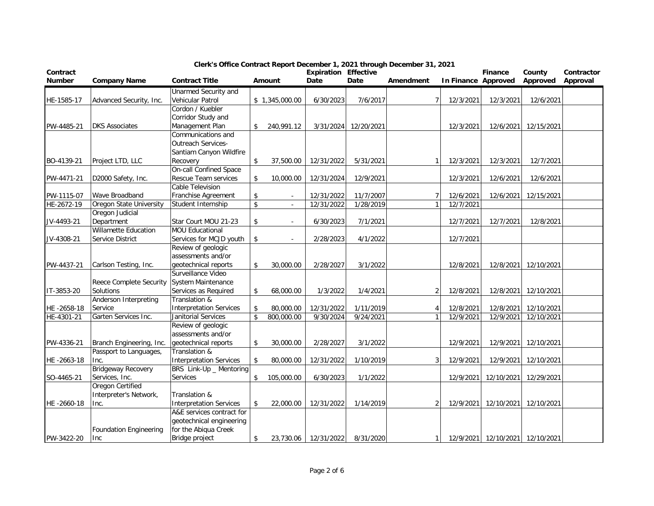| Clerk's Office Contract Report December 1, 2021 through December 31, 2021 |                               |                                |    |                |                             |            |                |                     |                      |            |            |  |
|---------------------------------------------------------------------------|-------------------------------|--------------------------------|----|----------------|-----------------------------|------------|----------------|---------------------|----------------------|------------|------------|--|
| Contract                                                                  |                               |                                |    |                | <b>Expiration Effective</b> |            |                |                     | <b>Finance</b>       | County     | Contractor |  |
| <b>Number</b>                                                             | <b>Company Name</b>           | <b>Contract Title</b>          |    | Amount         | Date                        | Date       | Amendment      | In Finance Approved |                      | Approved   | Approval   |  |
|                                                                           |                               | Unarmed Security and           |    |                |                             |            |                |                     |                      |            |            |  |
| HE-1585-17                                                                | Advanced Security, Inc.       | Vehicular Patrol               |    | \$1,345,000.00 | 6/30/2023                   | 7/6/2017   | 7              | 12/3/2021           | 12/3/2021            | 12/6/2021  |            |  |
|                                                                           |                               | Cordon / Kuebler               |    |                |                             |            |                |                     |                      |            |            |  |
|                                                                           |                               | Corridor Study and             |    |                |                             |            |                |                     |                      |            |            |  |
| PW-4485-21                                                                | <b>DKS Associates</b>         | Management Plan                | \$ | 240,991.12     | 3/31/2024                   | 12/20/2021 |                | 12/3/2021           | 12/6/2021            | 12/15/2021 |            |  |
|                                                                           |                               | Communications and             |    |                |                             |            |                |                     |                      |            |            |  |
|                                                                           |                               | Outreach Services-             |    |                |                             |            |                |                     |                      |            |            |  |
|                                                                           |                               | Santiam Canyon Wildfire        |    |                |                             |            |                |                     |                      |            |            |  |
| BO-4139-21                                                                | Project LTD, LLC              | Recovery                       | \$ | 37,500.00      | 12/31/2022                  | 5/31/2021  | $\mathbf{1}$   | 12/3/2021           | 12/3/2021            | 12/7/2021  |            |  |
|                                                                           |                               | On-call Confined Space         |    |                |                             |            |                |                     |                      |            |            |  |
| PW-4471-21                                                                | D2000 Safety, Inc.            | Rescue Team services           | \$ | 10,000.00      | 12/31/2024                  | 12/9/2021  |                | 12/3/2021           | 12/6/2021            | 12/6/2021  |            |  |
|                                                                           |                               | Cable Television               |    |                |                             |            |                |                     |                      |            |            |  |
| PW-1115-07                                                                | Wave Broadband                | Franchise Agreement            | \$ | $\overline{a}$ | 12/31/2022                  | 11/7/2007  | $\overline{7}$ | 12/6/2021           | 12/6/2021            | 12/15/2021 |            |  |
| HE-2672-19                                                                | Oregon State University       | Student Internship             | \$ | $\sim$         | 12/31/2022                  | 1/28/2019  | $\mathbf{1}$   | 12/7/2021           |                      |            |            |  |
|                                                                           | Oregon Judicial               |                                |    |                |                             |            |                |                     |                      |            |            |  |
| JV-4493-21                                                                | Department                    | Star Court MOU 21-23           | \$ | $\sim$         | 6/30/2023                   | 7/1/2021   |                | 12/7/2021           | 12/7/2021            | 12/8/2021  |            |  |
|                                                                           | Willamette Education          | MOU Educational                |    |                |                             |            |                |                     |                      |            |            |  |
| JV-4308-21                                                                | Service District              | Services for MCJD youth        | \$ | $\sim$         | 2/28/2023                   | 4/1/2022   |                | 12/7/2021           |                      |            |            |  |
|                                                                           |                               | Review of geologic             |    |                |                             |            |                |                     |                      |            |            |  |
|                                                                           |                               | assessments and/or             |    |                |                             |            |                |                     |                      |            |            |  |
| PW-4437-21                                                                | Carlson Testing, Inc.         | geotechnical reports           | \$ | 30,000.00      | 2/28/2027                   | 3/1/2022   |                | 12/8/2021           | 12/8/2021            | 12/10/2021 |            |  |
|                                                                           |                               | Surveillance Video             |    |                |                             |            |                |                     |                      |            |            |  |
|                                                                           | Reece Complete Security       | System Maintenance             |    |                |                             |            |                |                     |                      |            |            |  |
| IT-3853-20                                                                | Solutions                     | Services as Required           | \$ | 68,000.00      | 1/3/2022                    | 1/4/2021   | $\overline{2}$ | 12/8/2021           | 12/8/2021            | 12/10/2021 |            |  |
|                                                                           | Anderson Interpreting         | Translation &                  |    |                |                             |            |                |                     |                      |            |            |  |
| HE-2658-18                                                                | Service                       | <b>Interpretation Services</b> | \$ | 80,000.00      | 12/31/2022                  | 1/11/2019  | 4              | 12/8/2021           | 12/8/2021            | 12/10/2021 |            |  |
| HE-4301-21                                                                | Garten Services Inc.          | Janitorial Services            | \$ | 800,000.00     | 9/30/2024                   | 9/24/2021  | $\mathbf{1}$   | 12/9/2021           | 12/9/2021            | 12/10/2021 |            |  |
|                                                                           |                               | Review of geologic             |    |                |                             |            |                |                     |                      |            |            |  |
|                                                                           |                               | assessments and/or             |    |                |                             |            |                |                     |                      |            |            |  |
| PW-4336-21                                                                | Branch Engineering, Inc.      | geotechnical reports           | \$ | 30,000.00      | 2/28/2027                   | 3/1/2022   |                | 12/9/2021           | 12/9/2021            | 12/10/2021 |            |  |
|                                                                           | Passport to Languages,        | Translation &                  |    |                |                             |            |                |                     |                      |            |            |  |
| HE-2663-18                                                                | Inc.                          | <b>Interpretation Services</b> | \$ | 80,000.00      | 12/31/2022                  | 1/10/2019  | $\overline{3}$ | 12/9/2021           | 12/9/2021            | 12/10/2021 |            |  |
|                                                                           | <b>Bridgeway Recovery</b>     | BRS Link-Up _ Mentoring        |    |                |                             |            |                |                     |                      |            |            |  |
| SO-4465-21                                                                | Services, Inc.                | <b>Services</b>                | \$ | 105,000.00     | 6/30/2023                   | 1/1/2022   |                | 12/9/2021           | 12/10/2021           | 12/29/2021 |            |  |
|                                                                           | Oregon Certified              |                                |    |                |                             |            |                |                     |                      |            |            |  |
|                                                                           | Interpreter's Network,        | Translation &                  |    |                |                             |            |                |                     |                      |            |            |  |
| HE-2660-18                                                                | Inc.                          | <b>Interpretation Services</b> | \$ | 22,000.00      | 12/31/2022                  | 1/14/2019  | $\overline{2}$ | 12/9/2021           | 12/10/2021           | 12/10/2021 |            |  |
|                                                                           |                               | A&E services contract for      |    |                |                             |            |                |                     |                      |            |            |  |
|                                                                           |                               | geotechnical engineering       |    |                |                             |            |                |                     |                      |            |            |  |
|                                                                           | <b>Foundation Engineering</b> | for the Abiqua Creek           |    |                |                             |            |                |                     |                      |            |            |  |
| PW-3422-20                                                                | Inc.                          | Bridge project                 | \$ | 23,730.06      | 12/31/2022                  | 8/31/2020  | $\overline{1}$ |                     | 12/9/2021 12/10/2021 | 12/10/2021 |            |  |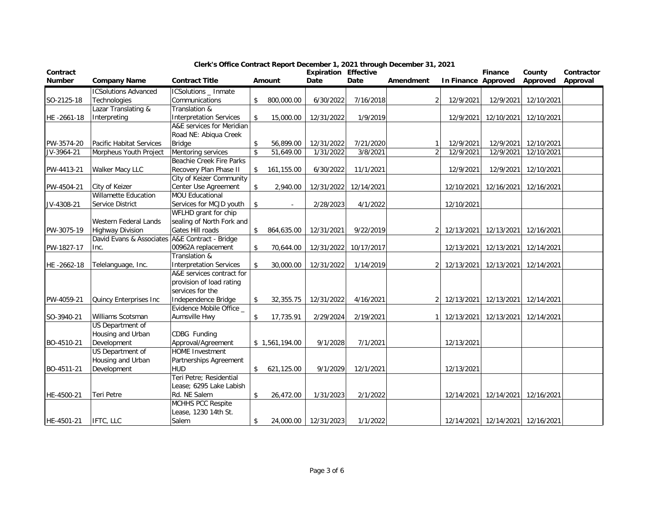| Clerk's Office Contract Report December 1, 2021 through December 31, 2021 |                                                |                                 |    |                |                                     |            |                |                     |                       |                    |                        |
|---------------------------------------------------------------------------|------------------------------------------------|---------------------------------|----|----------------|-------------------------------------|------------|----------------|---------------------|-----------------------|--------------------|------------------------|
| Contract<br><b>Number</b>                                                 | <b>Company Name</b>                            | <b>Contract Title</b>           |    | Amount         | <b>Expiration Effective</b><br>Date | Date       | Amendment      | In Finance Approved | <b>Finance</b>        | County<br>Approved | Contractor<br>Approval |
|                                                                           |                                                |                                 |    |                |                                     |            |                |                     |                       |                    |                        |
|                                                                           | <b>ICSolutions Advanced</b>                    | ICSolutions _ Inmate            |    |                |                                     |            |                |                     |                       |                    |                        |
| SO-2125-18                                                                | Technologies                                   | Communications                  | \$ | 800,000.00     | 6/30/2022                           | 7/16/2018  | 2              | 12/9/2021           | 12/9/2021             | 12/10/2021         |                        |
|                                                                           | Lazar Translating &                            | Translation &                   |    |                |                                     |            |                |                     |                       |                    |                        |
| HE-2661-18                                                                | Interpreting                                   | <b>Interpretation Services</b>  | \$ | 15,000.00      | 12/31/2022                          | 1/9/2019   |                | 12/9/2021           | 12/10/2021            | 12/10/2021         |                        |
|                                                                           |                                                | A&E services for Meridian       |    |                |                                     |            |                |                     |                       |                    |                        |
|                                                                           |                                                | Road NE: Abiqua Creek           |    |                |                                     |            |                |                     |                       |                    |                        |
| PW-3574-20                                                                | Pacific Habitat Services                       | Bridge                          | \$ | 56,899.00      | 12/31/2022                          | 7/21/2020  | $\mathbf{1}$   | 12/9/2021           | 12/9/2021             | 12/10/2021         |                        |
| JV-3964-21                                                                | Morpheus Youth Project                         | Mentoring services              | \$ | 51,649.00      | 1/31/2022                           | 3/8/2021   | $\overline{2}$ | 12/9/2021           | 12/9/2021             | 12/10/2021         |                        |
|                                                                           |                                                | <b>Beachie Creek Fire Parks</b> |    |                |                                     |            |                |                     |                       |                    |                        |
| PW-4413-21                                                                | Walker Macy LLC                                | Recovery Plan Phase II          | \$ | 161,155.00     | 6/30/2022                           | 11/1/2021  |                | 12/9/2021           | 12/9/2021             | 12/10/2021         |                        |
|                                                                           |                                                | City of Keizer Community        |    |                |                                     |            |                |                     |                       |                    |                        |
| PW-4504-21                                                                | City of Keizer                                 | Center Use Agreement            | \$ | 2,940.00       | 12/31/2022                          | 12/14/2021 |                | 12/10/2021          | 12/16/2021            | 12/16/2021         |                        |
|                                                                           | <b>Willamette Education</b>                    | <b>MOU Educational</b>          |    |                |                                     |            |                |                     |                       |                    |                        |
| JV-4308-21                                                                | Service District                               | Services for MCJD youth         | \$ | $\overline{a}$ | 2/28/2023                           | 4/1/2022   |                | 12/10/2021          |                       |                    |                        |
|                                                                           |                                                | WFLHD grant for chip            |    |                |                                     |            |                |                     |                       |                    |                        |
|                                                                           | Western Federal Lands                          | sealing of North Fork and       |    |                |                                     |            |                |                     |                       |                    |                        |
| PW-3075-19                                                                | <b>Highway Division</b>                        | Gates Hill roads                | \$ | 864,635.00     | 12/31/2021                          | 9/22/2019  | $\overline{2}$ | 12/13/2021          | 12/13/2021            | 12/16/2021         |                        |
|                                                                           | David Evans & Associates A&E Contract - Bridge |                                 |    |                |                                     |            |                |                     |                       |                    |                        |
| PW-1827-17                                                                | Inc.                                           | 00962A replacement              | \$ | 70,644.00      | 12/31/2022                          | 10/17/2017 |                | 12/13/2021          | 12/13/2021            | 12/14/2021         |                        |
|                                                                           |                                                | Translation &                   |    |                |                                     |            |                |                     |                       |                    |                        |
| HE-2662-18                                                                | Telelanguage, Inc.                             | <b>Interpretation Services</b>  | \$ | 30,000.00      | 12/31/2022                          | 1/14/2019  | $\overline{2}$ | 12/13/2021          | 12/13/2021            | 12/14/2021         |                        |
|                                                                           |                                                | A&E services contract for       |    |                |                                     |            |                |                     |                       |                    |                        |
|                                                                           |                                                | provision of load rating        |    |                |                                     |            |                |                     |                       |                    |                        |
|                                                                           |                                                | services for the                |    |                |                                     |            |                |                     |                       |                    |                        |
| PW-4059-21                                                                | Quincy Enterprises Inc                         | Independence Bridge             | \$ | 32,355.75      | 12/31/2022                          | 4/16/2021  | $\overline{2}$ | 12/13/2021          | 12/13/2021            | 12/14/2021         |                        |
|                                                                           |                                                | Evidence Mobile Office _        |    |                |                                     |            |                |                     |                       |                    |                        |
| SO-3940-21                                                                | Williams Scotsman                              | <b>Aumsville Hwy</b>            | \$ | 17,735.91      | 2/29/2024                           | 2/19/2021  |                | 12/13/2021          | 12/13/2021            | 12/14/2021         |                        |
|                                                                           | US Department of                               |                                 |    |                |                                     |            |                |                     |                       |                    |                        |
|                                                                           | Housing and Urban                              | CDBG Funding                    |    |                |                                     |            |                |                     |                       |                    |                        |
| BO-4510-21                                                                | Development                                    | Approval/Agreement              |    | \$1,561,194.00 | 9/1/2028                            | 7/1/2021   |                | 12/13/2021          |                       |                    |                        |
|                                                                           | US Department of                               | <b>HOME Investment</b>          |    |                |                                     |            |                |                     |                       |                    |                        |
|                                                                           | Housing and Urban                              | Partnerships Agreement          |    |                |                                     |            |                |                     |                       |                    |                        |
| BO-4511-21                                                                | Development                                    | <b>HUD</b>                      | \$ | 621,125.00     | 9/1/2029                            | 12/1/2021  |                | 12/13/2021          |                       |                    |                        |
|                                                                           |                                                | Teri Petre; Residential         |    |                |                                     |            |                |                     |                       |                    |                        |
|                                                                           |                                                | Lease; 6295 Lake Labish         |    |                |                                     |            |                |                     |                       |                    |                        |
| HE-4500-21                                                                | Teri Petre                                     | Rd. NE Salem                    | \$ | 26,472.00      | 1/31/2023                           | 2/1/2022   |                |                     | 12/14/2021 12/14/2021 | 12/16/2021         |                        |
|                                                                           |                                                | MCHHS PCC Respite               |    |                |                                     |            |                |                     |                       |                    |                        |
|                                                                           |                                                | Lease, 1230 14th St.            |    |                |                                     |            |                |                     |                       |                    |                        |
| HE-4501-21                                                                | IFTC, LLC                                      | Salem                           | \$ | 24,000.00      | 12/31/2023                          | 1/1/2022   |                |                     | 12/14/2021 12/14/2021 | 12/16/2021         |                        |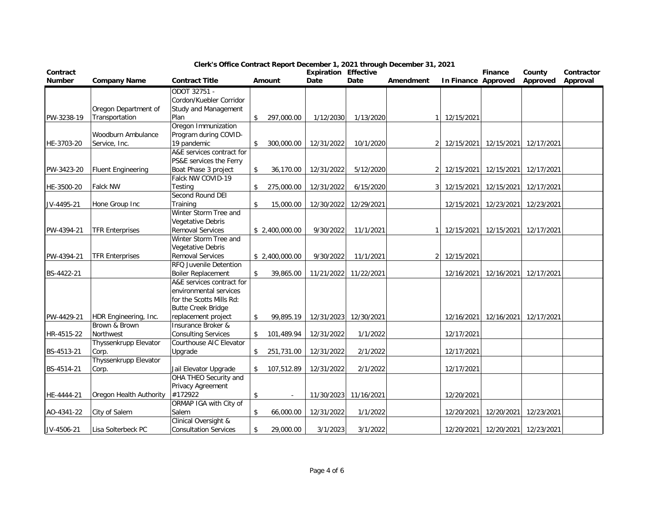| Contract      | Clerk's Office Contract Report December 1, 2021 through December 31, 2021<br><b>Expiration Effective</b><br><b>Finance</b><br>County<br>Contractor |                              |                  |            |                       |                |                     |                       |            |          |  |
|---------------|----------------------------------------------------------------------------------------------------------------------------------------------------|------------------------------|------------------|------------|-----------------------|----------------|---------------------|-----------------------|------------|----------|--|
| <b>Number</b> | <b>Company Name</b>                                                                                                                                | <b>Contract Title</b>        | Amount           | Date       | Date                  | Amendment      | In Finance Approved |                       | Approved   | Approval |  |
|               |                                                                                                                                                    | ODOT 32751 -                 |                  |            |                       |                |                     |                       |            |          |  |
|               |                                                                                                                                                    | Cordon/Kuebler Corridor      |                  |            |                       |                |                     |                       |            |          |  |
|               | Oregon Department of                                                                                                                               | Study and Management         |                  |            |                       |                |                     |                       |            |          |  |
| PW-3238-19    | Transportation                                                                                                                                     | Plan                         | \$<br>297,000.00 | 1/12/2030  | 1/13/2020             | 1 <sup>1</sup> | 12/15/2021          |                       |            |          |  |
|               |                                                                                                                                                    | Oregon Immunization          |                  |            |                       |                |                     |                       |            |          |  |
|               | Woodburn Ambulance                                                                                                                                 | Program during COVID-        |                  |            |                       |                |                     |                       |            |          |  |
| HE-3703-20    | Service, Inc.                                                                                                                                      | 19 pandemic                  | \$<br>300,000.00 | 12/31/2022 | 10/1/2020             | 21             | 12/15/2021          | 12/15/2021            | 12/17/2021 |          |  |
|               |                                                                                                                                                    | A&E services contract for    |                  |            |                       |                |                     |                       |            |          |  |
|               |                                                                                                                                                    | PS&E services the Ferry      |                  |            |                       |                |                     |                       |            |          |  |
| PW-3423-20    | <b>Fluent Engineering</b>                                                                                                                          | Boat Phase 3 project         | \$<br>36,170.00  | 12/31/2022 | 5/12/2020             | $\overline{2}$ | 12/15/2021          | 12/15/2021            | 12/17/2021 |          |  |
|               |                                                                                                                                                    | Falck NW COVID-19            |                  |            |                       |                |                     |                       |            |          |  |
| HE-3500-20    | <b>Falck NW</b>                                                                                                                                    | Testing                      | \$<br>275,000.00 | 12/31/2022 | 6/15/2020             | 3 <sup>1</sup> | 12/15/2021          | 12/15/2021            | 12/17/2021 |          |  |
|               |                                                                                                                                                    | Second Round DEI             |                  |            |                       |                |                     |                       |            |          |  |
| JV-4495-21    | Hone Group Inc                                                                                                                                     | Training                     | \$<br>15,000.00  | 12/30/2022 | 12/29/2021            |                | 12/15/2021          | 12/23/2021            | 12/23/2021 |          |  |
|               |                                                                                                                                                    | Winter Storm Tree and        |                  |            |                       |                |                     |                       |            |          |  |
|               |                                                                                                                                                    | <b>Vegetative Debris</b>     |                  |            |                       |                |                     |                       |            |          |  |
| PW-4394-21    | <b>TFR Enterprises</b>                                                                                                                             | <b>Removal Services</b>      | \$2,400,000.00   | 9/30/2022  | 11/1/2021             | 1 <sup>1</sup> | 12/15/2021          | 12/15/2021            | 12/17/2021 |          |  |
|               |                                                                                                                                                    | Winter Storm Tree and        |                  |            |                       |                |                     |                       |            |          |  |
|               |                                                                                                                                                    | <b>Vegetative Debris</b>     |                  |            |                       |                |                     |                       |            |          |  |
| PW-4394-21    | <b>TFR Enterprises</b>                                                                                                                             | <b>Removal Services</b>      | \$2,400,000.00   | 9/30/2022  | 11/1/2021             | $\overline{2}$ | 12/15/2021          |                       |            |          |  |
|               |                                                                                                                                                    | RFQ Juvenile Detention       |                  |            |                       |                |                     |                       |            |          |  |
| BS-4422-21    |                                                                                                                                                    | <b>Boiler Replacement</b>    | \$<br>39,865.00  |            | 11/21/2022 11/22/2021 |                | 12/16/2021          | 12/16/2021            | 12/17/2021 |          |  |
|               |                                                                                                                                                    | A&E services contract for    |                  |            |                       |                |                     |                       |            |          |  |
|               |                                                                                                                                                    | environmental services       |                  |            |                       |                |                     |                       |            |          |  |
|               |                                                                                                                                                    | for the Scotts Mills Rd:     |                  |            |                       |                |                     |                       |            |          |  |
|               |                                                                                                                                                    | <b>Butte Creek Bridge</b>    |                  |            |                       |                |                     |                       |            |          |  |
| PW-4429-21    | HDR Engineering, Inc.                                                                                                                              | replacement project          | \$<br>99,895.19  | 12/31/2023 | 12/30/2021            |                | 12/16/2021          | 12/16/2021            | 12/17/2021 |          |  |
|               | Brown & Brown                                                                                                                                      | Insurance Broker &           |                  |            |                       |                |                     |                       |            |          |  |
| HR-4515-22    | Northwest                                                                                                                                          | <b>Consulting Services</b>   | 101,489.94<br>\$ | 12/31/2022 | 1/1/2022              |                | 12/17/2021          |                       |            |          |  |
|               | Thyssenkrupp Elevator                                                                                                                              | Courthouse AIC Elevator      |                  |            |                       |                |                     |                       |            |          |  |
| BS-4513-21    | Corp.                                                                                                                                              | Upgrade                      | \$<br>251,731.00 | 12/31/2022 | 2/1/2022              |                | 12/17/2021          |                       |            |          |  |
|               | Thyssenkrupp Elevator                                                                                                                              |                              |                  |            |                       |                |                     |                       |            |          |  |
| BS-4514-21    | Corp.                                                                                                                                              | Jail Elevator Upgrade        | 107,512.89<br>\$ | 12/31/2022 | 2/1/2022              |                | 12/17/2021          |                       |            |          |  |
|               |                                                                                                                                                    | OHA THEO Security and        |                  |            |                       |                |                     |                       |            |          |  |
|               |                                                                                                                                                    | Privacy Agreement            |                  |            |                       |                |                     |                       |            |          |  |
| HE-4444-21    | Oregon Health Authority                                                                                                                            | #172922                      | \$               |            | 11/30/2023 11/16/2021 |                | 12/20/2021          |                       |            |          |  |
|               |                                                                                                                                                    | ORMAP IGA with City of       |                  |            |                       |                |                     |                       |            |          |  |
| AO-4341-22    | City of Salem                                                                                                                                      | Salem                        | \$<br>66,000.00  | 12/31/2022 | 1/1/2022              |                | 12/20/2021          | 12/20/2021            | 12/23/2021 |          |  |
|               |                                                                                                                                                    | Clinical Oversight &         |                  |            |                       |                |                     |                       |            |          |  |
| JV-4506-21    | Lisa Solterbeck PC                                                                                                                                 | <b>Consultation Services</b> | \$<br>29,000.00  | 3/1/2023   | 3/1/2022              |                |                     | 12/20/2021 12/20/2021 | 12/23/2021 |          |  |

**Clerk's Office Contract Report December 1, 2021 through December 31, 2021**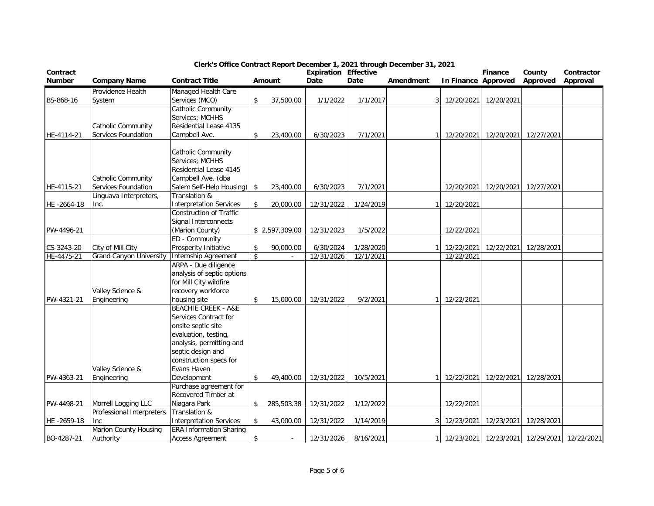| Contract      |                                 |                                       |                    |                | <b>Expiration Effective</b> |           | onice contract iteport becember $\eta$ zoz r through becember o $\eta$ |                     | <b>Finance</b>        | County     | Contractor            |
|---------------|---------------------------------|---------------------------------------|--------------------|----------------|-----------------------------|-----------|------------------------------------------------------------------------|---------------------|-----------------------|------------|-----------------------|
| <b>Number</b> | <b>Company Name</b>             | <b>Contract Title</b>                 |                    | Amount         | Date                        | Date      | Amendment                                                              | In Finance Approved |                       | Approved   | Approval              |
|               | <b>Providence Health</b>        | Managed Health Care                   |                    |                |                             |           |                                                                        |                     |                       |            |                       |
| BS-868-16     | System                          | Services (MCO)                        | \$                 | 37,500.00      | 1/1/2022                    | 1/1/2017  | 31                                                                     |                     | 12/20/2021 12/20/2021 |            |                       |
|               |                                 | Catholic Community                    |                    |                |                             |           |                                                                        |                     |                       |            |                       |
|               |                                 | Services; MCHHS                       |                    |                |                             |           |                                                                        |                     |                       |            |                       |
|               | Catholic Community              | Residential Lease 4135                |                    |                |                             |           |                                                                        |                     |                       |            |                       |
| HE-4114-21    | Services Foundation             | Campbell Ave.                         | \$                 | 23,400.00      | 6/30/2023                   | 7/1/2021  | 1 <sup>1</sup>                                                         |                     | 12/20/2021 12/20/2021 | 12/27/2021 |                       |
|               |                                 |                                       |                    |                |                             |           |                                                                        |                     |                       |            |                       |
|               |                                 | Catholic Community                    |                    |                |                             |           |                                                                        |                     |                       |            |                       |
|               |                                 | Services; MCHHS                       |                    |                |                             |           |                                                                        |                     |                       |            |                       |
|               |                                 | Residential Lease 4145                |                    |                |                             |           |                                                                        |                     |                       |            |                       |
|               | Catholic Community              | Campbell Ave. (dba                    |                    |                |                             |           |                                                                        |                     |                       |            |                       |
| HE-4115-21    | Services Foundation             | Salem Self-Help Housing)              | -\$                | 23,400.00      | 6/30/2023                   | 7/1/2021  |                                                                        | 12/20/2021          | 12/20/2021            | 12/27/2021 |                       |
|               | Linguava Interpreters,          | Translation &                         |                    |                |                             |           |                                                                        |                     |                       |            |                       |
| HE -2664-18   | Inc.                            | <b>Interpretation Services</b>        | \$                 | 20,000.00      | 12/31/2022                  | 1/24/2019 | 1 I                                                                    | 12/20/2021          |                       |            |                       |
|               |                                 | <b>Construction of Traffic</b>        |                    |                |                             |           |                                                                        |                     |                       |            |                       |
|               |                                 | Signal Interconnects                  |                    |                |                             |           |                                                                        |                     |                       |            |                       |
| PW-4496-21    |                                 | (Marion County)                       |                    | \$2,597,309.00 | 12/31/2023                  | 1/5/2022  |                                                                        | 12/22/2021          |                       |            |                       |
|               |                                 | ED - Community                        |                    |                |                             |           |                                                                        |                     |                       |            |                       |
| CS-3243-20    | City of Mill City               | Prosperity Initiative                 | \$                 | 90,000.00      | 6/30/2024                   | 1/28/2020 |                                                                        | 12/22/2021          | 12/22/2021            | 12/28/2021 |                       |
| HE-4475-21    | <b>Grand Canyon University</b>  | Internship Agreement                  | $\mathbf{\hat{S}}$ |                | 12/31/2026                  | 12/1/2021 |                                                                        | 12/22/2021          |                       |            |                       |
|               |                                 | ARPA - Due diligence                  |                    |                |                             |           |                                                                        |                     |                       |            |                       |
|               |                                 | analysis of septic options            |                    |                |                             |           |                                                                        |                     |                       |            |                       |
|               |                                 | for Mill City wildfire                |                    |                |                             |           |                                                                        |                     |                       |            |                       |
|               | Valley Science &                | recovery workforce                    |                    |                |                             |           |                                                                        |                     |                       |            |                       |
| PW-4321-21    | Engineering                     | housing site                          | \$                 | 15,000.00      | 12/31/2022                  | 9/2/2021  |                                                                        | 12/22/2021          |                       |            |                       |
|               |                                 | <b>BEACHIE CREEK - A&amp;E</b>        |                    |                |                             |           |                                                                        |                     |                       |            |                       |
|               |                                 | Services Contract for                 |                    |                |                             |           |                                                                        |                     |                       |            |                       |
|               |                                 | onsite septic site                    |                    |                |                             |           |                                                                        |                     |                       |            |                       |
|               |                                 | evaluation, testing,                  |                    |                |                             |           |                                                                        |                     |                       |            |                       |
|               |                                 | analysis, permitting and              |                    |                |                             |           |                                                                        |                     |                       |            |                       |
|               |                                 | septic design and                     |                    |                |                             |           |                                                                        |                     |                       |            |                       |
|               |                                 | construction specs for<br>Evans Haven |                    |                |                             |           |                                                                        |                     |                       |            |                       |
| PW-4363-21    | Valley Science &<br>Engineering | Development                           | \$                 | 49,400.00      |                             | 10/5/2021 |                                                                        |                     | 12/22/2021 12/22/2021 | 12/28/2021 |                       |
|               |                                 | Purchase agreement for                |                    |                | 12/31/2022                  |           |                                                                        |                     |                       |            |                       |
|               |                                 | Recovered Timber at                   |                    |                |                             |           |                                                                        |                     |                       |            |                       |
| PW-4498-21    | Morrell Logging LLC             | Niagara Park                          |                    |                | 12/31/2022                  | 1/12/2022 |                                                                        | 12/22/2021          |                       |            |                       |
|               | Professional Interpreters       | Translation &                         | \$                 | 285,503.38     |                             |           |                                                                        |                     |                       |            |                       |
| HE-2659-18    | Inc                             | <b>Interpretation Services</b>        | \$                 | 43,000.00      | 12/31/2022                  | 1/14/2019 | 3 <sup>1</sup>                                                         | 12/23/2021          | 12/23/2021            | 12/28/2021 |                       |
|               | Marion County Housing           | <b>ERA Information Sharing</b>        |                    |                |                             |           |                                                                        |                     |                       |            |                       |
|               | Authority                       | <b>Access Agreement</b>               | \$                 |                | 12/31/2026                  | 8/16/2021 |                                                                        |                     | 12/23/2021 12/23/2021 |            | 12/29/2021 12/22/2021 |
| BO-4287-21    |                                 |                                       |                    |                |                             |           | 1 <sup>1</sup>                                                         |                     |                       |            |                       |